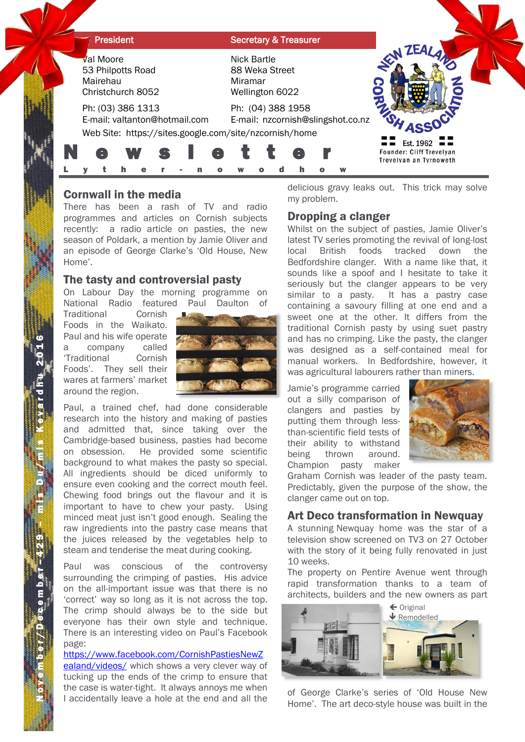| <b>President</b> |                                                                        |  |  |  |  |  |   |                                                             |  | <b>Secretary &amp; Treasurer</b>                                            |  |                                   |                                                                                   |  |
|------------------|------------------------------------------------------------------------|--|--|--|--|--|---|-------------------------------------------------------------|--|-----------------------------------------------------------------------------|--|-----------------------------------|-----------------------------------------------------------------------------------|--|
|                  | <b>Val Moore</b><br>53 Philpotts Road<br>Mairehau<br>Christchurch 8052 |  |  |  |  |  |   | Nick Bartle<br>88 Weka Street<br>Miramar<br>Wellington 6022 |  |                                                                             |  |                                   | <b>ZEA</b>                                                                        |  |
|                  | Ph: (03) 386 1313<br>E-mail: valtanton@hotmail.com                     |  |  |  |  |  |   |                                                             |  | Ph: (04) 388 1958<br>Web Site: https://sites.google.com/site/nzcornish/home |  | E-mail: nzcornish@slingshot.co.nz |                                                                                   |  |
|                  |                                                                        |  |  |  |  |  | e |                                                             |  |                                                                             |  |                                   | Est. 1962 $\equiv$ $\equiv$<br>Founder: Cliff Trevelyan<br>Trevelyan an Tyrnoweth |  |

# Cornwall in the media

There has been a rash of TV and radio programmes and articles on Cornish subjects recently: a radio article on pasties, the new season of Poldark, a mention by Jamie Oliver and an episode of George Clarke's 'Old House, New Home'.

## The tasty and controversial pasty

On Labour Day the morning programme on National Radio featured Paul Daulton of

Traditional Cornish Foods in the Waikato. Paul and his wife operate a company called 'Traditional Cornish Foods'. They sell their wares at farmers' market around the region.



Paul, a trained chef, had done considerable research into the history and making of pasties and admitted that, since taking over the Cambridge-based business, pasties had become on obsession. He provided some scientific background to what makes the pasty so special. All ingredients should be diced uniformly to ensure even cooking and the correct mouth feel. Chewing food brings out the flavour and it is important to have to chew your pasty. Using minced meat just isn't good enough. Sealing the raw ingredients into the pastry case means that the juices released by the vegetables help to steam and tenderise the meat during cooking.

Paul was conscious of the controversy surrounding the crimping of pasties. His advice on the all-important issue was that there is no 'correct' way so long as it is not across the top. The crimp should always be to the side but everyone has their own style and technique. There is an interesting video on Paul's Facebook page:

[https://www.facebook.com/CornishPastiesNewZ](https://www.facebook.com/CornishPastiesNewZealand/videos/) [ealand/videos/](https://www.facebook.com/CornishPastiesNewZealand/videos/) which shows a very clever way of tucking up the ends of the crimp to ensure that the case is water-tight. It always annoys me when I accidentally leave a hole at the end and all the

delicious gravy leaks out. This trick may solve my problem.

## Dropping a clanger

Whilst on the subject of pasties, Jamie Oliver's latest TV series promoting the revival of long-lost local British foods tracked down the Bedfordshire clanger. With a name like that, it sounds like a spoof and I hesitate to take it seriously but the clanger appears to be very similar to a pasty. It has a pastry case containing a savoury filling at one end and a sweet one at the other. It differs from the traditional Cornish pasty by using suet pastry and has no crimping. Like the pasty, the clanger was designed as a self-contained meal for manual workers. In Bedfordshire, however, it was agricultural labourers rather than miners.

Jamie's programme carried out a silly comparison of clangers and pasties by putting them through lessthan-scientific field tests of their ability to withstand being thrown around. Champion pasty maker



Graham Cornish was leader of the pasty team. Predictably, given the purpose of the show, the clanger came out on top.

# Art Deco transformation in Newquay

A stunning Newquay home was the star of a television show screened on TV3 on 27 October with the story of it being fully renovated in just 10 weeks.

The property on Pentire Avenue went through rapid transformation thanks to a team of architects, builders and the new owners as part



of George Clarke's series of 'Old House New Home'. The art deco-style house was built in the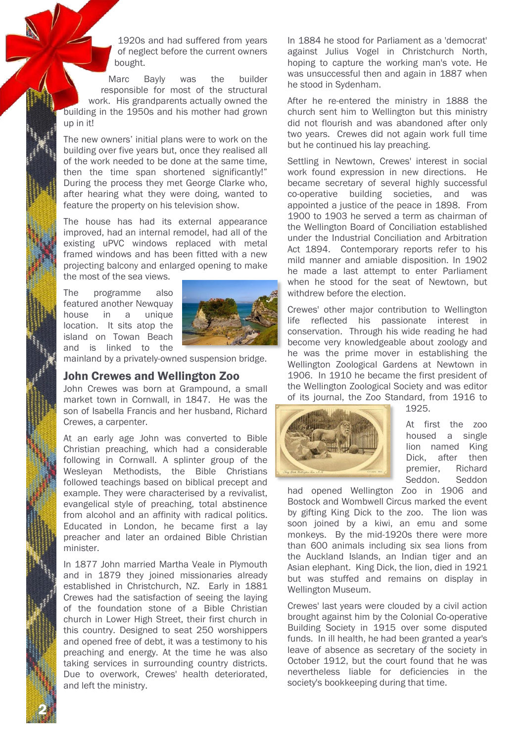1920s and had suffered from years of neglect before the current owners bought.

Marc Bayly was the builder responsible for most of the structural work. His grandparents actually owned the building in the 1950s and his mother had grown up in it!

The new owners' initial plans were to work on the building over five years but, once they realised all of the work needed to be done at the same time, then the time span shortened significantly!" During the process they met George Clarke who, after hearing what they were doing, wanted to feature the property on his television show.

The house has had its external appearance improved, had an internal remodel, had all of the existing uPVC windows replaced with metal framed windows and has been fitted with a new projecting balcony and enlarged opening to make the most of the sea views.

The programme also featured another Newquay house in a unique location. It sits atop the island on Towan Beach and is linked to the



mainland by a privately-owned suspension bridge.

#### John Crewes and Wellington Zoo

John Crewes was born at Grampound, a small market town in Cornwall, in 1847. He was the son of Isabella Francis and her husband, Richard Crewes, a carpenter.

At an early age John was converted to Bible Christian preaching, which had a considerable following in Cornwall. A splinter group of the Wesleyan Methodists, the Bible Christians followed teachings based on biblical precept and example. They were characterised by a revivalist, evangelical style of preaching, total abstinence from alcohol and an affinity with radical politics. Educated in London, he became first a lay preacher and later an ordained Bible Christian minister.

In 1877 John married Martha Veale in Plymouth and in 1879 they joined missionaries already established in Christchurch, NZ. Early in 1881 Crewes had the satisfaction of seeing the laying of the foundation stone of a Bible Christian church in Lower High Street, their first church in this country. Designed to seat 250 worshippers and opened free of debt, it was a testimony to his preaching and energy. At the time he was also taking services in surrounding country districts. Due to overwork, Crewes' health deteriorated, and left the ministry.

2 Ň

In 1884 he stood for Parliament as a 'democrat' against Julius Vogel in Christchurch North, hoping to capture the working man's vote. He was unsuccessful then and again in 1887 when he stood in Sydenham.

After he re-entered the ministry in 1888 the church sent him to Wellington but this ministry did not flourish and was abandoned after only two years. Crewes did not again work full time but he continued his lay preaching.

Settling in Newtown, Crewes' interest in social work found expression in new directions. He became secretary of several highly successful co-operative building societies, and was appointed a justice of the peace in 1898. From 1900 to 1903 he served a term as chairman of the Wellington Board of Conciliation established under the Industrial Conciliation and Arbitration Act 1894. Contemporary reports refer to his mild manner and amiable disposition. In 1902 he made a last attempt to enter Parliament when he stood for the seat of Newtown, but withdrew before the election.

Crewes' other major contribution to Wellington life reflected his passionate interest in conservation. Through his wide reading he had become very knowledgeable about zoology and he was the prime mover in establishing the Wellington Zoological Gardens at Newtown in 1906. In 1910 he became the first president of the Wellington Zoological Society and was editor of its journal, the Zoo Standard, from 1916 to



1925.

At first the zoo housed a single lion named King Dick, after then premier, Richard Seddon. Seddon

had opened Wellington Zoo in 1906 and Bostock and Wombwell Circus marked the event by gifting King Dick to the zoo. The lion was soon joined by a kiwi, an emu and some monkeys. By the mid-1920s there were more than 600 animals including six sea lions from the Auckland Islands, an Indian tiger and an Asian elephant. King Dick, the lion, died in 1921 but was stuffed and remains on display in Wellington Museum.

Crewes' last years were clouded by a civil action brought against him by the Colonial Co-operative Building Society in 1915 over some disputed funds. In ill health, he had been granted a year's leave of absence as secretary of the society in October 1912, but the court found that he was nevertheless liable for deficiencies in the society's bookkeeping during that time.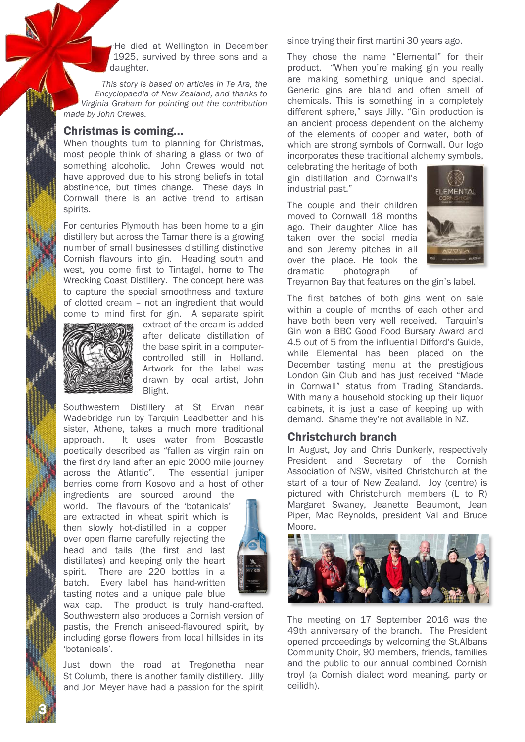He died at Wellington in December 1925, survived by three sons and a daughter.

*This story is based on articles in Te Ara, the Encyclopaedia of New Zealand, and thanks to Virginia Graham for pointing out the contribution made by John Crewes.*

## Christmas is coming…

When thoughts turn to planning for Christmas, most people think of sharing a glass or two of something alcoholic. John Crewes would not have approved due to his strong beliefs in total abstinence, but times change. These days in Cornwall there is an active trend to artisan spirits.

For centuries Plymouth has been home to a gin distillery but across the Tamar there is a growing number of small businesses distilling distinctive Cornish flavours into gin. Heading south and west, you come first to Tintagel, home to The Wrecking Coast Distillery. The concept here was to capture the special smoothness and texture of clotted cream – not an ingredient that would come to mind first for gin. A separate spirit



3 Ň

extract of the cream is added after delicate distillation of the base spirit in a computercontrolled still in Holland. Artwork for the label was drawn by local artist, John Blight.

Southwestern Distillery at St Ervan near Wadebridge run by Tarquin Leadbetter and his sister, Athene, takes a much more traditional approach. It uses water from Boscastle poetically described as "fallen as virgin rain on the first dry land after an epic 2000 mile journey across the Atlantic". The essential juniper berries come from Kosovo and a host of other

ingredients are sourced around the world. The flavours of the 'botanicals' are extracted in wheat spirit which is then slowly hot-distilled in a copper over open flame carefully rejecting the head and tails (the first and last distillates) and keeping only the heart spirit. There are 220 bottles in a batch. Every label has hand-written tasting notes and a unique pale blue



wax cap. The product is truly hand-crafted. Southwestern also produces a Cornish version of pastis, the French aniseed-flavoured spirit, by including gorse flowers from local hillsides in its 'botanicals'.

Just down the road at Tregonetha near St Columb, there is another family distillery. Jilly and Jon Meyer have had a passion for the spirit

since trying their first martini 30 years ago.

They chose the name "Elemental" for their product. "When you're making gin you really are making something unique and special. Generic gins are bland and often smell of chemicals. This is something in a completely different sphere," says Jilly. "Gin production is an ancient process dependent on the alchemy of the elements of copper and water, both of which are strong symbols of Cornwall. Our logo incorporates these traditional alchemy symbols,

celebrating the heritage of both gin distillation and Cornwall's industrial past."

The couple and their children moved to Cornwall 18 months ago. Their daughter Alice has taken over the social media and son Jeremy pitches in all over the place. He took the dramatic photograph of



Treyarnon Bay that features on the gin's label.

The first batches of both gins went on sale within a couple of months of each other and have both been very well received. Tarquin's Gin won a BBC Good Food Bursary Award and 4.5 out of 5 from the influential Difford's Guide, while Elemental has been placed on the December tasting menu at the prestigious London Gin Club and has just received "Made in Cornwall" status from Trading Standards. With many a household stocking up their liquor cabinets, it is just a case of keeping up with demand. Shame they're not available in NZ.

## Christchurch branch

In August, Joy and Chris Dunkerly, respectively President and Secretary of the Cornish Association of NSW, visited Christchurch at the start of a tour of New Zealand. Joy (centre) is pictured with Christchurch members (L to R) Margaret Swaney, Jeanette Beaumont, Jean Piper, Mac Reynolds, president Val and Bruce Moore.



The meeting on 17 September 2016 was the 49th anniversary of the branch. The President opened proceedings by welcoming the St.Albans Community Choir, 90 members, friends, families and the public to our annual combined Cornish troyl (a Cornish dialect word meaning. party or ceilidh).